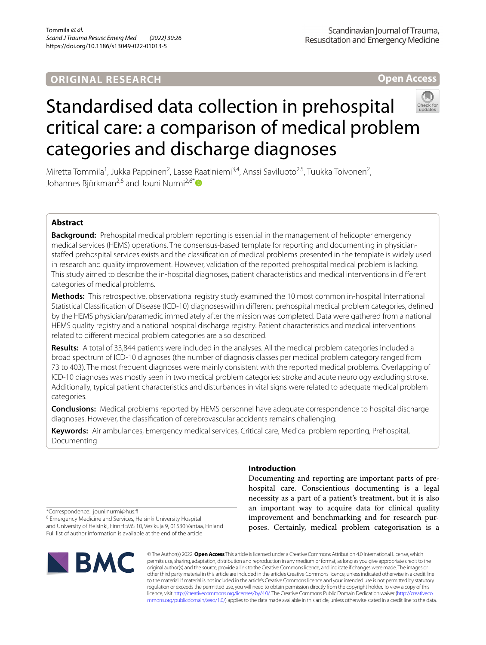# **ORIGINAL RESEARCH**

**Open Access**

# Standardised data collection in prehospital critical care: a comparison of medical problem categories and discharge diagnoses

Miretta Tommila<sup>1</sup>, Jukka Pappinen<sup>2</sup>, Lasse Raatiniemi<sup>3,4</sup>, Anssi Saviluoto<sup>2,5</sup>, Tuukka Toivonen<sup>2</sup>, Johannes Björkman<sup>2,6</sup> and Jouni Nurmi<sup>2,6[\\*](http://orcid.org/0000-0002-1920-4869)</sup>

# **Abstract**

**Background:** Prehospital medical problem reporting is essential in the management of helicopter emergency medical services (HEMS) operations. The consensus-based template for reporting and documenting in physicianstafed prehospital services exists and the classifcation of medical problems presented in the template is widely used in research and quality improvement. However, validation of the reported prehospital medical problem is lacking. This study aimed to describe the in-hospital diagnoses, patient characteristics and medical interventions in diferent categories of medical problems.

**Methods:** This retrospective, observational registry study examined the 10 most common in-hospital International Statistical Classifcation of Disease (ICD-10) diagnoseswithin diferent prehospital medical problem categories, defned by the HEMS physician/paramedic immediately after the mission was completed. Data were gathered from a national HEMS quality registry and a national hospital discharge registry. Patient characteristics and medical interventions related to diferent medical problem categories are also described.

**Results:** A total of 33,844 patients were included in the analyses. All the medical problem categories included a broad spectrum of ICD-10 diagnoses (the number of diagnosis classes per medical problem category ranged from 73 to 403). The most frequent diagnoses were mainly consistent with the reported medical problems. Overlapping of ICD-10 diagnoses was mostly seen in two medical problem categories: stroke and acute neurology excluding stroke. Additionally, typical patient characteristics and disturbances in vital signs were related to adequate medical problem categories.

**Conclusions:** Medical problems reported by HEMS personnel have adequate correspondence to hospital discharge diagnoses. However, the classifcation of cerebrovascular accidents remains challenging.

**Keywords:** Air ambulances, Emergency medical services, Critical care, Medical problem reporting, Prehospital, Documenting

#### **Introduction**

Documenting and reporting are important parts of prehospital care. Conscientious documenting is a legal necessity as a part of a patient's treatment, but it is also an important way to acquire data for clinical quality improvement and benchmarking and for research purposes. Certainly, medical problem categorisation is a

\*Correspondence: jouni.nurmi@hus.f

<sup>6</sup> Emergency Medicine and Services, Helsinki University Hospital and University of Helsinki, FinnHEMS 10, Vesikuja 9, 01530 Vantaa, Finland Full list of author information is available at the end of the article



© The Author(s) 2022. **Open Access** This article is licensed under a Creative Commons Attribution 4.0 International License, which permits use, sharing, adaptation, distribution and reproduction in any medium or format, as long as you give appropriate credit to the original author(s) and the source, provide a link to the Creative Commons licence, and indicate if changes were made. The images or other third party material in this article are included in the article's Creative Commons licence, unless indicated otherwise in a credit line to the material. If material is not included in the article's Creative Commons licence and your intended use is not permitted by statutory regulation or exceeds the permitted use, you will need to obtain permission directly from the copyright holder. To view a copy of this licence, visit [http://creativecommons.org/licenses/by/4.0/.](http://creativecommons.org/licenses/by/4.0/) The Creative Commons Public Domain Dedication waiver ([http://creativeco](http://creativecommons.org/publicdomain/zero/1.0/) [mmons.org/publicdomain/zero/1.0/](http://creativecommons.org/publicdomain/zero/1.0/)) applies to the data made available in this article, unless otherwise stated in a credit line to the data.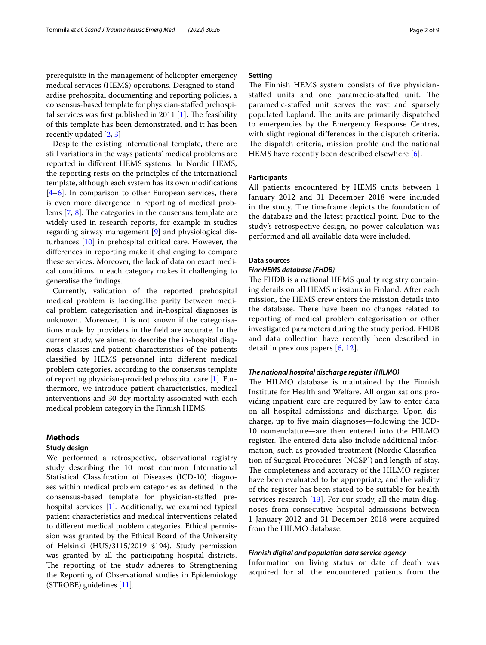## prerequisite in the management of helicopter emergency medical services (HEMS) operations. Designed to standardise prehospital documenting and reporting policies, a consensus-based template for physician-stafed prehospi-tal services was first published in 2011 [\[1](#page-7-0)]. The feasibility of this template has been demonstrated, and it has been recently updated [[2,](#page-7-1) [3](#page-7-2)]

Despite the existing international template, there are still variations in the ways patients' medical problems are reported in diferent HEMS systems. In Nordic HEMS, the reporting rests on the principles of the international template, although each system has its own modifcations  $[4-6]$  $[4-6]$ . In comparison to other European services, there is even more divergence in reporting of medical problems  $[7, 8]$  $[7, 8]$  $[7, 8]$  $[7, 8]$ . The categories in the consensus template are widely used in research reports, for example in studies regarding airway management [[9\]](#page-7-7) and physiological disturbances [\[10](#page-7-8)] in prehospital critical care. However, the diferences in reporting make it challenging to compare these services. Moreover, the lack of data on exact medical conditions in each category makes it challenging to generalise the fndings.

Currently, validation of the reported prehospital medical problem is lacking. The parity between medical problem categorisation and in-hospital diagnoses is unknown.. Moreover, it is not known if the categorisations made by providers in the feld are accurate. In the current study, we aimed to describe the in-hospital diagnosis classes and patient characteristics of the patients classifed by HEMS personnel into diferent medical problem categories, according to the consensus template of reporting physician-provided prehospital care [[1](#page-7-0)]. Furthermore, we introduce patient characteristics, medical interventions and 30-day mortality associated with each medical problem category in the Finnish HEMS.

#### **Methods**

#### **Study design**

We performed a retrospective, observational registry study describing the 10 most common International Statistical Classifcation of Diseases (ICD-10) diagnoses within medical problem categories as defned in the consensus-based template for physician-stafed prehospital services [\[1\]](#page-7-0). Additionally, we examined typical patient characteristics and medical interventions related to diferent medical problem categories. Ethical permission was granted by the Ethical Board of the University of Helsinki (HUS/3115/2019 §194). Study permission was granted by all the participating hospital districts. The reporting of the study adheres to Strengthening the Reporting of Observational studies in Epidemiology (STROBE) guidelines [[11\]](#page-7-9).

#### **Setting**

The Finnish HEMS system consists of five physicianstaffed units and one paramedic-staffed unit. The paramedic-stafed unit serves the vast and sparsely populated Lapland. The units are primarily dispatched to emergencies by the Emergency Response Centres, with slight regional diferences in the dispatch criteria. The dispatch criteria, mission profile and the national HEMS have recently been described elsewhere [[6\]](#page-7-4).

#### **Participants**

All patients encountered by HEMS units between 1 January 2012 and 31 December 2018 were included in the study. The timeframe depicts the foundation of the database and the latest practical point. Due to the study's retrospective design, no power calculation was performed and all available data were included.

#### **Data sources**

#### *FinnHEMS database (FHDB)*

The FHDB is a national HEMS quality registry containing details on all HEMS missions in Finland. After each mission, the HEMS crew enters the mission details into the database. There have been no changes related to reporting of medical problem categorisation or other investigated parameters during the study period. FHDB and data collection have recently been described in detail in previous papers [[6](#page-7-4), [12\]](#page-7-10).

#### *The national hospital discharge register (HILMO)*

The HILMO database is maintained by the Finnish Institute for Health and Welfare. All organisations providing inpatient care are required by law to enter data on all hospital admissions and discharge. Upon discharge, up to fve main diagnoses—following the ICD-10 nomenclature—are then entered into the HILMO register. The entered data also include additional information, such as provided treatment (Nordic Classifcation of Surgical Procedures [NCSP]) and length-of-stay. The completeness and accuracy of the HILMO register have been evaluated to be appropriate, and the validity of the register has been stated to be suitable for health services research [[13](#page-7-11)]. For our study, all the main diagnoses from consecutive hospital admissions between 1 January 2012 and 31 December 2018 were acquired from the HILMO database.

#### *Finnish digital and population data service agency*

Information on living status or date of death was acquired for all the encountered patients from the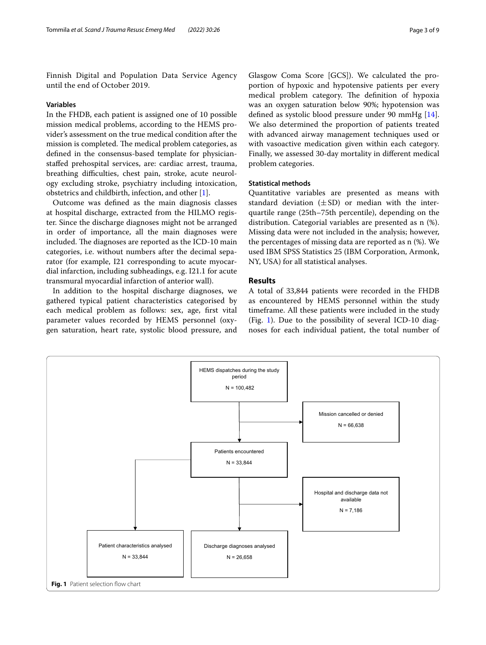Finnish Digital and Population Data Service Agency until the end of October 2019.

#### **Variables**

In the FHDB, each patient is assigned one of 10 possible mission medical problems, according to the HEMS provider's assessment on the true medical condition after the mission is completed. The medical problem categories, as defned in the consensus-based template for physicianstafed prehospital services, are: cardiac arrest, trauma, breathing difficulties, chest pain, stroke, acute neurology excluding stroke, psychiatry including intoxication, obstetrics and childbirth, infection, and other [\[1](#page-7-0)].

Outcome was defned as the main diagnosis classes at hospital discharge, extracted from the HILMO register. Since the discharge diagnoses might not be arranged in order of importance, all the main diagnoses were included. The diagnoses are reported as the ICD-10 main categories, i.e. without numbers after the decimal separator (for example, I21 corresponding to acute myocardial infarction, including subheadings, e.g. I21.1 for acute transmural myocardial infarction of anterior wall).

In addition to the hospital discharge diagnoses, we gathered typical patient characteristics categorised by each medical problem as follows: sex, age, frst vital parameter values recorded by HEMS personnel (oxygen saturation, heart rate, systolic blood pressure, and

Glasgow Coma Score [GCS]). We calculated the proportion of hypoxic and hypotensive patients per every medical problem category. The definition of hypoxia was an oxygen saturation below 90%; hypotension was defned as systolic blood pressure under 90 mmHg [\[14](#page-7-12)]. We also determined the proportion of patients treated with advanced airway management techniques used or with vasoactive medication given within each category. Finally, we assessed 30-day mortality in diferent medical problem categories.

#### **Statistical methods**

Quantitative variables are presented as means with standard deviation  $(\pm SD)$  or median with the interquartile range (25th–75th percentile), depending on the distribution. Categorial variables are presented as n (%). Missing data were not included in the analysis; however, the percentages of missing data are reported as n (%). We used IBM SPSS Statistics 25 (IBM Corporation, Armonk, NY, USA) for all statistical analyses.

#### **Results**

A total of 33,844 patients were recorded in the FHDB as encountered by HEMS personnel within the study timeframe. All these patients were included in the study (Fig. [1\)](#page-2-0). Due to the possibility of several ICD-10 diagnoses for each individual patient, the total number of

<span id="page-2-0"></span>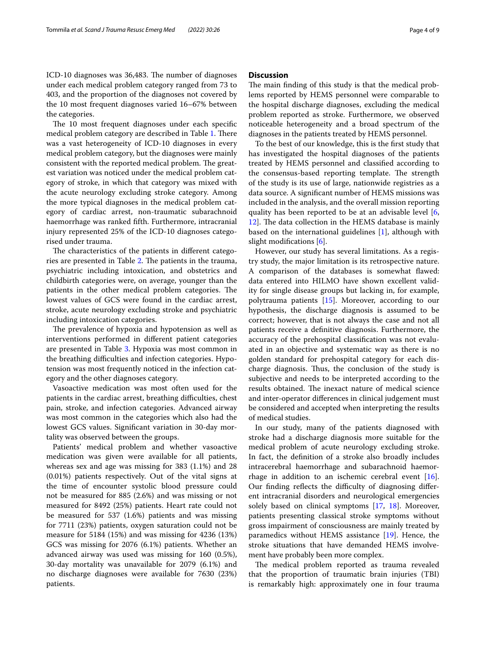ICD-10 diagnoses was 36,483. The number of diagnoses under each medical problem category ranged from 73 to 403, and the proportion of the diagnoses not covered by the 10 most frequent diagnoses varied 16–67% between the categories.

The 10 most frequent diagnoses under each specific medical problem category are described in Table [1](#page-4-0). There was a vast heterogeneity of ICD-10 diagnoses in every medical problem category, but the diagnoses were mainly consistent with the reported medical problem. The greatest variation was noticed under the medical problem category of stroke, in which that category was mixed with the acute neurology excluding stroke category. Among the more typical diagnoses in the medical problem category of cardiac arrest, non-traumatic subarachnoid haemorrhage was ranked ffth. Furthermore, intracranial injury represented 25% of the ICD-10 diagnoses categorised under trauma.

The characteristics of the patients in different catego-ries are presented in Table [2](#page-5-0). The patients in the trauma, psychiatric including intoxication, and obstetrics and childbirth categories were, on average, younger than the patients in the other medical problem categories. The lowest values of GCS were found in the cardiac arrest, stroke, acute neurology excluding stroke and psychiatric including intoxication categories.

The prevalence of hypoxia and hypotension as well as interventions performed in diferent patient categories are presented in Table [3](#page-5-1). Hypoxia was most common in the breathing difficulties and infection categories. Hypotension was most frequently noticed in the infection category and the other diagnoses category.

Vasoactive medication was most often used for the patients in the cardiac arrest, breathing difficulties, chest pain, stroke, and infection categories. Advanced airway was most common in the categories which also had the lowest GCS values. Signifcant variation in 30-day mortality was observed between the groups.

Patients' medical problem and whether vasoactive medication was given were available for all patients, whereas sex and age was missing for 383 (1.1%) and 28 (0.01%) patients respectively. Out of the vital signs at the time of encounter systolic blood pressure could not be measured for 885 (2.6%) and was missing or not measured for 8492 (25%) patients. Heart rate could not be measured for 537 (1.6%) patients and was missing for 7711 (23%) patients, oxygen saturation could not be measure for 5184 (15%) and was missing for 4236 (13%) GCS was missing for 2076 (6.1%) patients. Whether an advanced airway was used was missing for 160 (0.5%), 30-day mortality was unavailable for 2079 (6.1%) and no discharge diagnoses were available for 7630 (23%) patients.

#### **Discussion**

The main finding of this study is that the medical problems reported by HEMS personnel were comparable to the hospital discharge diagnoses, excluding the medical problem reported as stroke. Furthermore, we observed noticeable heterogeneity and a broad spectrum of the diagnoses in the patients treated by HEMS personnel.

To the best of our knowledge, this is the frst study that has investigated the hospital diagnoses of the patients treated by HEMS personnel and classifed according to the consensus-based reporting template. The strength of the study is its use of large, nationwide registries as a data source. A signifcant number of HEMS missions was included in the analysis, and the overall mission reporting quality has been reported to be at an advisable level [\[6](#page-7-4), [12\]](#page-7-10). The data collection in the HEMS database is mainly based on the international guidelines [[1\]](#page-7-0), although with slight modifications [[6\]](#page-7-4).

However, our study has several limitations. As a registry study, the major limitation is its retrospective nature. A comparison of the databases is somewhat fawed: data entered into HILMO have shown excellent validity for single disease groups but lacking in, for example, polytrauma patients [[15\]](#page-7-13). Moreover, according to our hypothesis, the discharge diagnosis is assumed to be correct; however, that is not always the case and not all patients receive a defnitive diagnosis. Furthermore, the accuracy of the prehospital classifcation was not evaluated in an objective and systematic way as there is no golden standard for prehospital category for each discharge diagnosis. Thus, the conclusion of the study is subjective and needs to be interpreted according to the results obtained. The inexact nature of medical science and inter-operator diferences in clinical judgement must be considered and accepted when interpreting the results of medical studies.

In our study, many of the patients diagnosed with stroke had a discharge diagnosis more suitable for the medical problem of acute neurology excluding stroke. In fact, the defnition of a stroke also broadly includes intracerebral haemorrhage and subarachnoid haemorrhage in addition to an ischemic cerebral event  $[16]$  $[16]$ . Our finding reflects the difficulty of diagnosing different intracranial disorders and neurological emergencies solely based on clinical symptoms [[17,](#page-7-15) [18\]](#page-7-16). Moreover, patients presenting classical stroke symptoms without gross impairment of consciousness are mainly treated by paramedics without HEMS assistance [[19\]](#page-7-17). Hence, the stroke situations that have demanded HEMS involvement have probably been more complex.

The medical problem reported as trauma revealed that the proportion of traumatic brain injuries (TBI) is remarkably high: approximately one in four trauma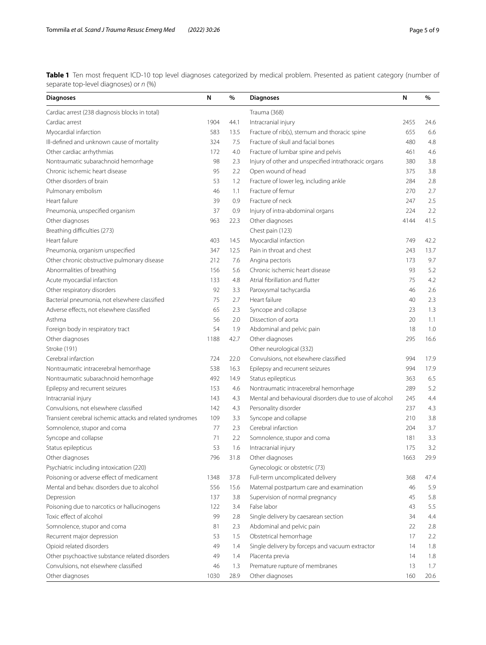<span id="page-4-0"></span>**Table 1** Ten most frequent ICD-10 top level diagnoses categorized by medical problem. Presented as patient category (number of separate top-level diagnoses) or *n* (%)

| <b>Diagnoses</b>                                          | N    | %    | <b>Diagnoses</b>                                       | N    | %    |
|-----------------------------------------------------------|------|------|--------------------------------------------------------|------|------|
| Cardiac arrest (238 diagnosis blocks in total)            |      |      | Trauma (368)                                           |      |      |
| Cardiac arrest                                            | 1904 | 44.1 | Intracranial injury                                    | 2455 | 24.6 |
| Myocardial infarction                                     | 583  | 13.5 | Fracture of rib(s), sternum and thoracic spine         | 655  | 6.6  |
| Ill-defined and unknown cause of mortality                | 324  | 7.5  | Fracture of skull and facial bones                     | 480  | 4.8  |
| Other cardiac arrhythmias                                 | 172  | 4.0  | Fracture of lumbar spine and pelvis                    | 461  | 4.6  |
| Nontraumatic subarachnoid hemorrhage                      | 98   | 2.3  | Injury of other and unspecified intrathoracic organs   | 380  | 3.8  |
| Chronic ischemic heart disease                            | 95   | 2.2  | Open wound of head                                     | 375  | 3.8  |
| Other disorders of brain                                  | 53   | 1.2  | Fracture of lower leg, including ankle                 | 284  | 2.8  |
| Pulmonary embolism                                        | 46   | 1.1  | Fracture of femur                                      | 270  | 2.7  |
| Heart failure                                             | 39   | 0.9  | Fracture of neck                                       | 247  | 2.5  |
| Pneumonia, unspecified organism                           | 37   | 0.9  | Injury of intra-abdominal organs                       | 224  | 2.2  |
| Other diagnoses                                           | 963  | 22.3 | Other diagnoses                                        | 4144 | 41.5 |
| Breathing difficulties (273)                              |      |      | Chest pain (123)                                       |      |      |
| Heart failure                                             | 403  | 14.5 | Myocardial infarction                                  | 749  | 42.2 |
| Pneumonia, organism unspecified                           | 347  | 12.5 | Pain in throat and chest                               | 243  | 13.7 |
| Other chronic obstructive pulmonary disease               | 212  | 7.6  | Angina pectoris                                        | 173  | 9.7  |
| Abnormalities of breathing                                | 156  | 5.6  | Chronic ischemic heart disease                         | 93   | 5.2  |
| Acute myocardial infarction                               | 133  | 4.8  | Atrial fibrillation and flutter                        | 75   | 4.2  |
| Other respiratory disorders                               | 92   | 3.3  | Paroxysmal tachycardia                                 | 46   | 2.6  |
| Bacterial pneumonia, not elsewhere classified             | 75   | 2.7  | Heart failure                                          | 40   | 2.3  |
| Adverse effects, not elsewhere classified                 | 65   | 2.3  | Syncope and collapse                                   | 23   | 1.3  |
| Asthma                                                    | 56   | 2.0  | Dissection of aorta                                    | 20   | 1.1  |
| Foreign body in respiratory tract                         | 54   | 1.9  | Abdominal and pelvic pain                              | 18   | 1.0  |
| Other diagnoses                                           | 1188 | 42.7 | Other diagnoses                                        | 295  | 16.6 |
| Stroke (191)                                              |      |      | Other neurological (332)                               |      |      |
| Cerebral infarction                                       | 724  | 22.0 | Convulsions, not elsewhere classified                  | 994  | 17.9 |
| Nontraumatic intracerebral hemorrhage                     | 538  | 16.3 | Epilepsy and recurrent seizures                        | 994  | 17.9 |
| Nontraumatic subarachnoid hemorrhage                      | 492  | 14.9 | Status epilepticus                                     | 363  | 6.5  |
| Epilepsy and recurrent seizures                           | 153  | 4.6  | Nontraumatic intracerebral hemorrhage                  | 289  | 5.2  |
| Intracranial injury                                       | 143  | 4.3  | Mental and behavioural disorders due to use of alcohol | 245  | 4.4  |
| Convulsions, not elsewhere classified                     | 142  | 4.3  | Personality disorder                                   | 237  | 4.3  |
| Transient cerebral ischemic attacks and related syndromes | 109  | 3.3  | Syncope and collapse                                   | 210  | 3.8  |
| Somnolence, stupor and coma                               | 77   | 2.3  | Cerebral infarction                                    | 204  | 3.7  |
| Syncope and collapse                                      | 71   | 2.2  | Somnolence, stupor and coma                            | 181  | 3.3  |
| Status epilepticus                                        | 53   | 1.6  | Intracranial injury                                    | 175  | 3.2  |
| Other diagnoses                                           | 796  | 31.8 | Other diagnoses                                        | 1663 | 29.9 |
| Psychiatric including intoxication (220)                  |      |      | Gynecologic or obstetric (73)                          |      |      |
| Poisoning or adverse effect of medicament                 | 1348 | 37.8 | Full-term uncomplicated delivery                       | 368  | 47.4 |
| Mental and behav, disorders due to alcohol                | 556  | 15.6 | Maternal postpartum care and examination               | 46   | 5.9  |
| Depression                                                | 137  | 3.8  | Supervision of normal pregnancy                        | 45   | 5.8  |
| Poisoning due to narcotics or hallucinogens               | 122  | 3.4  | False labor                                            | 43   | 5.5  |
| Toxic effect of alcohol                                   | 99   | 2.8  | Single delivery by caesarean section                   | 34   | 4.4  |
| Somnolence, stupor and coma                               | 81   | 2.3  | Abdominal and pelvic pain                              | 22   | 2.8  |
| Recurrent major depression                                | 53   | 1.5  | Obstetrical hemorrhage                                 | 17   | 2.2  |
| Opioid related disorders                                  | 49   | 1.4  | Single delivery by forceps and vacuum extractor        | 14   | 1.8  |
| Other psychoactive substance related disorders            | 49   | 1.4  | Placenta previa                                        | 14   | 1.8  |
| Convulsions, not elsewhere classified                     | 46   | 1.3  | Premature rupture of membranes                         | 13   | 1.7  |
| Other diagnoses                                           | 1030 | 28.9 | Other diagnoses                                        | 160  | 20.6 |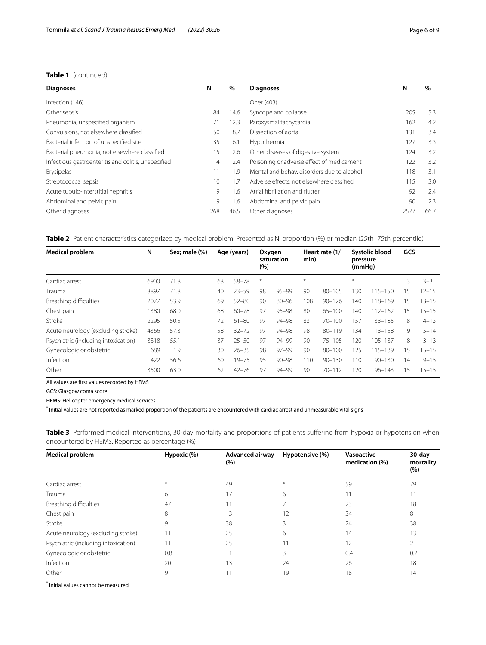### **Table 1** (continued)

| <b>Diagnoses</b>                                    | N   | $\%$ | <b>Diagnoses</b>                           | N    | $\%$ |
|-----------------------------------------------------|-----|------|--------------------------------------------|------|------|
| Infection (146)                                     |     |      | Oher (403)                                 |      |      |
| Other sepsis                                        | 84  | 14.6 | Syncope and collapse                       | 205  | 5.3  |
| Pneumonia, unspecified organism                     | 71  | 12.3 | Paroxysmal tachycardia                     | 162  | 4.2  |
| Convulsions, not elsewhere classified               | 50  | 8.7  | Dissection of aorta                        | 131  | 3.4  |
| Bacterial infection of unspecified site             | 35  | 6.1  | Hypothermia                                | 127  | 3.3  |
| Bacterial pneumonia, not elsewhere classified       | 15  | 2.6  | Other diseases of digestive system         | 124  | 3.2  |
| Infectious gastroenteritis and colitis, unspecified | 14  | 2.4  | Poisoning or adverse effect of medicament  | 122  | 3.2  |
| Erysipelas                                          | 11  | 1.9  | Mental and behav, disorders due to alcohol | 118  | 3.1  |
| Streptococcal sepsis                                | 10  | 1.7  | Adverse effects, not elsewhere classified  | 115  | 3.0  |
| Acute tubulo-interstitial nephritis                 | 9   | 1.6  | Atrial fibrillation and flutter            | 92   | 2.4  |
| Abdominal and pelvic pain                           | 9   | 1.6  | Abdominal and pelvic pain                  | 90   | 2.3  |
| Other diagnoses                                     | 268 | 46.5 | Other diagnoses                            | 2577 | 66.7 |

<span id="page-5-0"></span>

| Table 2 Patient characteristics categorized by medical problem. Presented as N, proportion (%) or median (25th-75th percentile) |
|---------------------------------------------------------------------------------------------------------------------------------|
|---------------------------------------------------------------------------------------------------------------------------------|

| <b>Medical problem</b>               | N    | Sex; male (%) |    | Age (years) | Oxygen<br>(%) | saturation | min)   | Heart rate (1/ | pressure<br>(mmHq) | Systolic blood | GCS |           |
|--------------------------------------|------|---------------|----|-------------|---------------|------------|--------|----------------|--------------------|----------------|-----|-----------|
| Cardiac arrest                       | 6900 | 71.8          | 68 | $58 - 78$   | $\ast$        |            | $\ast$ |                | $\divideontimes$   |                | 3   | $3 - 3$   |
| Trauma                               | 8897 | 71.8          | 40 | $23 - 59$   | 98            | $95 - 99$  | 90     | $80 - 105$     | 130                | $115 - 150$    | 15  | $12 - 15$ |
| Breathing difficulties               | 2077 | 53.9          | 69 | $52 - 80$   | 90            | $80 - 96$  | 108    | $90 - 126$     | 140                | 118-169        | 15  | $13 - 15$ |
| Chest pain                           | 1380 | 68.0          | 68 | $60 - 78$   | 97            | $95 - 98$  | 80     | $65 - 100$     | 140                | $112 - 162$    | 15  | $15 - 15$ |
| Stroke                               | 2295 | 50.5          | 72 | $61 - 80$   | 97            | $94 - 98$  | 83     | $70 - 100$     | 157                | $133 - 185$    | 8   | $4 - 13$  |
| Acute neurology (excluding stroke)   | 4366 | 57.3          | 58 | $32 - 72$   | 97            | $94 - 98$  | 98     | $80 - 119$     | 134                | $113 - 158$    | 9   | $5 - 14$  |
| Psychiatric (including intoxication) | 3318 | 55.1          | 37 | $25 - 50$   | 97            | 94-99      | 90     | $75 - 105$     | 120                | $105 - 137$    | 8   | $3 - 13$  |
| Gynecologic or obstetric             | 689  | 1.9           | 30 | $26 - 35$   | 98            | $97 - 99$  | 90     | $80 - 100$     | 125                | $115 - 139$    | 15  | $15 - 15$ |
| Infection                            | 422  | 56.6          | 60 | $19 - 75$   | 95            | $90 - 98$  | 110    | $90 - 130$     | 110                | $90 - 130$     | 14  | $9 - 15$  |
| Other                                | 3500 | 63.0          | 62 | $42 - 76$   | 97            | 94-99      | 90     | $70 - 112$     | 20                 | $96 - 143$     | 15  | $15 - 15$ |

All values are frst values recorded by HEMS

GCS: Glasgow coma score

HEMS: Helicopter emergency medical services

\* Initial values are not reported as marked proportion of the patients are encountered with cardiac arrest and unmeasurable vital signs

<span id="page-5-1"></span>**Table 3** Performed medical interventions, 30-day mortality and proportions of patients suffering from hypoxia or hypotension when encountered by HEMS. Reported as percentage (%)

| <b>Medical problem</b>               | Hypoxic (%) | <b>Advanced airway</b><br>$(\% )$ | Hypotensive (%) | Vasoactive<br>medication (%) | 30-day<br>mortality<br>(%) |
|--------------------------------------|-------------|-----------------------------------|-----------------|------------------------------|----------------------------|
| Cardiac arrest                       | $*$         | 49                                | $*$             | 59                           | 79                         |
| Trauma                               | 6           | 17                                | 6               | 11                           | 11                         |
| Breathing difficulties               | 47          |                                   |                 | 23                           | 18                         |
| Chest pain                           | 8           |                                   | 12              | 34                           | 8                          |
| Stroke                               | 9           | 38                                |                 | 24                           | 38                         |
| Acute neurology (excluding stroke)   | 11          | 25                                | 6               | 14                           | 13                         |
| Psychiatric (including intoxication) | 11          | 25                                | 11              | 12                           |                            |
| Gynecologic or obstetric             | 0.8         |                                   | 3               | 0.4                          | 0.2                        |
| Infection                            | 20          | 13                                | 24              | 26                           | 18                         |
| Other                                | 9           |                                   | 19              | 18                           | 14                         |

\* Initial values cannot be measured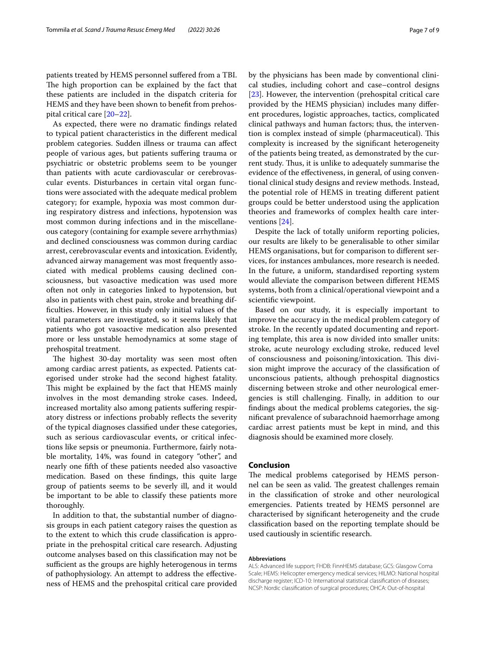patients treated by HEMS personnel sufered from a TBI. The high proportion can be explained by the fact that these patients are included in the dispatch criteria for HEMS and they have been shown to beneft from prehospital critical care [[20](#page-7-18)[–22](#page-7-19)].

As expected, there were no dramatic fndings related to typical patient characteristics in the diferent medical problem categories. Sudden illness or trauma can afect people of various ages, but patients sufering trauma or psychiatric or obstetric problems seem to be younger than patients with acute cardiovascular or cerebrovascular events. Disturbances in certain vital organ functions were associated with the adequate medical problem category; for example, hypoxia was most common during respiratory distress and infections, hypotension was most common during infections and in the miscellaneous category (containing for example severe arrhythmias) and declined consciousness was common during cardiac arrest, cerebrovascular events and intoxication. Evidently, advanced airway management was most frequently associated with medical problems causing declined consciousness, but vasoactive medication was used more often not only in categories linked to hypotension, but also in patients with chest pain, stroke and breathing diffculties. However, in this study only initial values of the vital parameters are investigated, so it seems likely that patients who got vasoactive medication also presented more or less unstable hemodynamics at some stage of prehospital treatment.

The highest 30-day mortality was seen most often among cardiac arrest patients, as expected. Patients categorised under stroke had the second highest fatality. This might be explained by the fact that HEMS mainly involves in the most demanding stroke cases. Indeed, increased mortality also among patients sufering respiratory distress or infections probably refects the severity of the typical diagnoses classifed under these categories, such as serious cardiovascular events, or critical infections like sepsis or pneumonia. Furthermore, fairly notable mortality, 14%, was found in category "other", and nearly one ffth of these patients needed also vasoactive medication. Based on these fndings, this quite large group of patients seems to be severly ill, and it would be important to be able to classify these patients more thoroughly.

In addition to that, the substantial number of diagnosis groups in each patient category raises the question as to the extent to which this crude classifcation is appropriate in the prehospital critical care research. Adjusting outcome analyses based on this classifcation may not be sufficient as the groups are highly heterogenous in terms of pathophysiology. An attempt to address the efectiveness of HEMS and the prehospital critical care provided by the physicians has been made by conventional clinical studies, including cohort and case–control designs [[23\]](#page-8-0). However, the intervention (prehospital critical care provided by the HEMS physician) includes many diferent procedures, logistic approaches, tactics, complicated clinical pathways and human factors; thus, the intervention is complex instead of simple (pharmaceutical). This complexity is increased by the signifcant heterogeneity of the patients being treated, as demonstrated by the current study. Thus, it is unlike to adequately summarise the evidence of the efectiveness, in general, of using conventional clinical study designs and review methods. Instead, the potential role of HEMS in treating diferent patient groups could be better understood using the application theories and frameworks of complex health care interventions [[24\]](#page-8-1).

Despite the lack of totally uniform reporting policies, our results are likely to be generalisable to other similar HEMS organisations, but for comparison to diferent services, for instances ambulances, more research is needed. In the future, a uniform, standardised reporting system would alleviate the comparison between diferent HEMS systems, both from a clinical/operational viewpoint and a scientifc viewpoint.

Based on our study, it is especially important to improve the accuracy in the medical problem category of stroke. In the recently updated documenting and reporting template, this area is now divided into smaller units: stroke, acute neurology excluding stroke, reduced level of consciousness and poisoning/intoxication. This division might improve the accuracy of the classifcation of unconscious patients, although prehospital diagnostics discerning between stroke and other neurological emergencies is still challenging. Finally, in addition to our fndings about the medical problems categories, the signifcant prevalence of subarachnoid haemorrhage among cardiac arrest patients must be kept in mind, and this diagnosis should be examined more closely.

#### **Conclusion**

The medical problems categorised by HEMS personnel can be seen as valid. The greatest challenges remain in the classifcation of stroke and other neurological emergencies. Patients treated by HEMS personnel are characterised by signifcant heterogeneity and the crude classifcation based on the reporting template should be used cautiously in scientifc research.

#### **Abbreviations**

ALS: Advanced life support; FHDB: FinnHEMS database; GCS: Glasgow Coma Scale; HEMS: Helicopter emergency medical services; HILMO: National hospital discharge register; ICD-10: International statistical classifcation of diseases; NCSP: Nordic classifcation of surgical procedures; OHCA: Out-of-hospital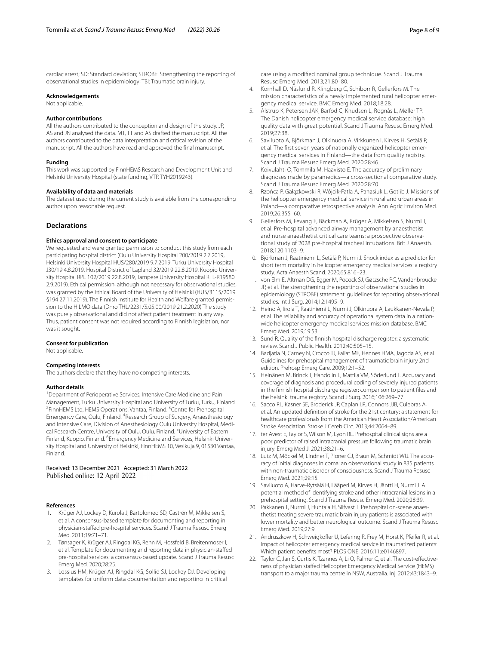cardiac arrest; SD: Standard deviation; STROBE: Strengthening the reporting of observational studies in epidemiology; TBI: Traumatic brain injury.

#### **Acknowledgements**

Not applicable.

#### **Author contributions**

All the authors contributed to the conception and design of the study. JP, AS and JN analysed the data. MT, TT and AS drafted the manuscript. All the authors contributed to the data interpretation and critical revision of the manuscript. All the authors have read and approved the fnal manuscript.

#### **Funding**

This work was supported by FinnHEMS Research and Development Unit and Helsinki University Hospital (state funding, VTR TYH2019243).

#### **Availability of data and materials**

The dataset used during the current study is available from the corresponding author upon reasonable request.

#### **Declarations**

#### **Ethics approval and consent to participate**

We requested and were granted permission to conduct this study from each participating hospital district (Oulu University Hospital 200/2019 2.7.2019, Helsinki University Hospital HUS/280/2019 9.7.2019, Turku University Hospital J30/19 4.8.2019, Hospital District of Lapland 32/2019 22.8.2019, Kuopio University Hospital RPL 102/2019 22.8.2019, Tampere University Hospital RTL-R19580 2.9.2019). Ethical permission, although not necessary for observational studies, was granted by the Ethical Board of the University of Helsinki (HUS/3115/2019 §194 27.11.2019). The Finnish Institute for Health and Welfare granted permission to the HILMO data (Dnro THL/2231/5.05.00/2019 21.2.2020) The study was purely observational and did not afect patient treatment in any way. Thus, patient consent was not required according to Finnish legislation, nor was it sought.

#### **Consent for publication**

Not applicable.

#### **Competing interests**

The authors declare that they have no competing interests.

#### **Author details**

<sup>1</sup> Department of Perioperative Services, Intensive Care Medicine and Pain Management, Turku University Hospital and University of Turku, Turku, Finland. 2 FinnHEMS Ltd, HEMS Operations, Vantaa, Finland. <sup>3</sup> Centre for Prehospital Emergency Care, Oulu, Finland. <sup>4</sup> Research Group of Surgery, Anaesthesiology and Intensive Care, Division of Anesthesiology Oulu University Hospital, Medical Research Centre, University of Oulu, Oulu, Finland. <sup>5</sup> University of Eastern Finland, Kuopio, Finland. <sup>6</sup> Emergency Medicine and Services, Helsinki University Hospital and University of Helsinki, FinnHEMS 10, Vesikuja 9, 01530 Vantaa, Finland.

# Received: 13 December 2021 Accepted: 31 March 2022

#### **References**

- <span id="page-7-0"></span>1. Krüger AJ, Lockey D, Kurola J, Bartolomeo SD, Castrén M, Mikkelsen S, et al. A consensus-based template for documenting and reporting in physician-stafed pre-hospital services. Scand J Trauma Resusc Emerg Med. 2011;19:71–71.
- <span id="page-7-1"></span>2. Tønsager K, Krüger AJ, Ringdal KG, Rehn M, Hossfeld B, Breitenmoser I, et al. Template for documenting and reporting data in physician-stafed pre-hospital services: a consensus-based update. Scand J Trauma Resusc Emerg Med. 2020;28:25.
- <span id="page-7-2"></span>3. Lossius HM, Krüger AJ, Ringdal KG, Sollid SJ, Lockey DJ. Developing templates for uniform data documentation and reporting in critical

care using a modifed nominal group technique. Scand J Trauma Resusc Emerg Med. 2013;21:80–80.

- <span id="page-7-3"></span>4. Kornhall D, Näslund R, Klingberg C, Schiborr R, Gellerfors M. The mission characteristics of a newly implemented rural helicopter emergency medical service. BMC Emerg Med. 2018;18:28.
- 5. Alstrup K, Petersen JAK, Barfod C, Knudsen L, Rognås L, Møller TP. The Danish helicopter emergency medical service database: high quality data with great potential. Scand J Trauma Resusc Emerg Med. 2019;27:38.
- <span id="page-7-4"></span>6. Saviluoto A, Björkman J, Olkinuora A, Virkkunen I, Kirves H, Setälä P, et al. The frst seven years of nationally organized helicopter emergency medical services in Finland—the data from quality registry. Scand J Trauma Resusc Emerg Med. 2020;28:46.
- <span id="page-7-5"></span>Koivulahti O, Tommila M, Haavisto E. The accuracy of preliminary diagnoses made by paramedics—a cross-sectional comparative study. Scand J Trauma Resusc Emerg Med. 2020;28:70.
- <span id="page-7-6"></span>8. Rzońca P, Gałązkowski R, Wójcik-Fatla A, Panasiuk L, Gotlib J. Missions of the helicopter emergency medical service in rural and urban areas in Poland—a comparative retrospective analysis. Ann Agric Environ Med. 2019;26:355–60.
- <span id="page-7-7"></span>9. Gellerfors M, Fevang E, Bäckman A, Krüger A, Mikkelsen S, Nurmi J, et al. Pre-hospital advanced airway management by anaesthetist and nurse anaesthetist critical care teams: a prospective observational study of 2028 pre-hospital tracheal intubations. Brit J Anaesth. 2018;120:1103–9.
- <span id="page-7-8"></span>10. Björkman J, Raatiniemi L, Setälä P, Nurmi J. Shock index as a predictor for short term mortality in helicopter emergency medical services: a registry study. Acta Anaesth Scand. 2020;65:816–23.
- <span id="page-7-9"></span>11. von Elm E, Altman DG, Egger M, Pocock SJ, Gøtzsche PC, Vandenbroucke JP, et al. The strengthening the reporting of observational studies in epidemiology (STROBE) statement: guidelines for reporting observational studies. Int J Surg. 2014;12:1495–9.
- <span id="page-7-10"></span>12. Heino A, Iirola T, Raatiniemi L, Nurmi J, Olkinuora A, Laukkanen-Nevala P, et al. The reliability and accuracy of operational system data in a nationwide helicopter emergency medical services mission database. BMC Emerg Med. 2019;19:53.
- <span id="page-7-11"></span>13. Sund R. Quality of the fnnish hospital discharge register: a systematic review. Scand J Public Health. 2012;40:505–15.
- <span id="page-7-12"></span>14. Badjatia N, Carney N, Crocco TJ, Fallat ME, Hennes HMA, Jagoda AS, et al. Guidelines for prehospital management of traumatic brain injury 2nd edition. Prehosp Emerg Care. 2009;12:1–52.
- <span id="page-7-13"></span>15. Heinänen M, Brinck T, Handolin L, Mattila VM, Söderlund T. Accuracy and coverage of diagnosis and procedural coding of severely injured patients in the fnnish hospital discharge register: comparison to patient fles and the helsinki trauma registry. Scand J Surg. 2016;106:269–77.
- <span id="page-7-14"></span>16. Sacco RL, Kasner SE, Broderick JP, Caplan LR, Connors JJB, Culebras A, et al. An updated defnition of stroke for the 21st century: a statement for healthcare professionals from the American Heart Association/American Stroke Association. Stroke J Cereb Circ. 2013;44:2064–89.
- <span id="page-7-15"></span>17. ter Avest E, Taylor S, Wilson M, Lyon RL. Prehospital clinical signs are a poor predictor of raised intracranial pressure following traumatic brain injury. Emerg Med J. 2021;38:21–6.
- <span id="page-7-16"></span>18. Lutz M, Möckel M, Lindner T, Ploner CJ, Braun M, Schmidt WU. The accuracy of initial diagnoses in coma: an observational study in 835 patients with non-traumatic disorder of consciousness. Scand J Trauma Resusc Emerg Med. 2021;29:15.
- <span id="page-7-17"></span>19. Saviluoto A, Harve-Rytsälä H, Lääperi M, Kirves H, Jäntti H, Nurmi J. A potential method of identifying stroke and other intracranial lesions in a prehospital setting. Scand J Trauma Resusc Emerg Med. 2020;28:39.
- <span id="page-7-18"></span>20. Pakkanen T, Nurmi J, Huhtala H, Silfvast T. Prehospital on-scene anaesthetist treating severe traumatic brain injury patients is associated with lower mortality and better neurological outcome. Scand J Trauma Resusc Emerg Med. 2019;27:9.
- 21. Andruszkow H, Schweigkofler U, Lefering R, Frey M, Horst K, Pfeifer R, et al. Impact of helicopter emergency medical service in traumatized patients: Which patient benefts most? PLOS ONE. 2016;11:e0146897.
- <span id="page-7-19"></span>22. Taylor C, Jan S, Curtis K, Tzannes A, Li Q, Palmer C, et al. The cost-effectiveness of physician stafed Helicopter Emergency Medical Service (HEMS) transport to a major trauma centre in NSW, Australia. Inj. 2012;43:1843–9.